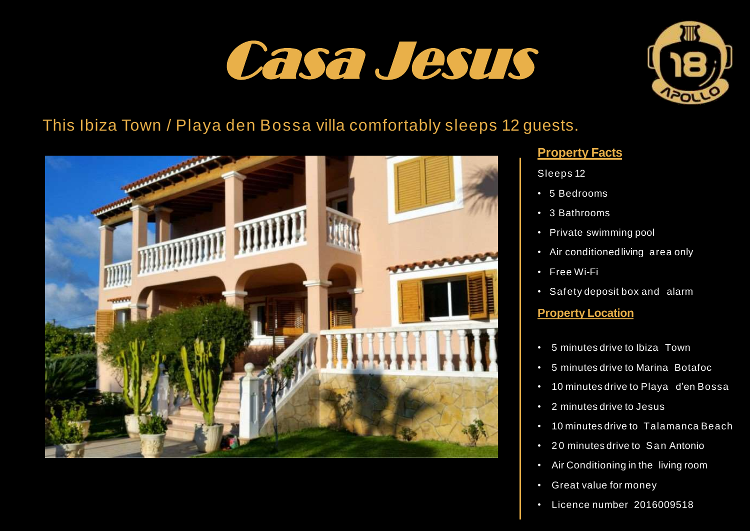# Casa Jesus



# This Ibiza Town / Playa den Bossa villa comfortably sleeps 12 guests.



### **Property Facts**

Sleeps 12

- 5 Bedrooms
- 3 Bathrooms
- Private swimming pool
- Air conditionedliving area only
- Free Wi-Fi
- Safety deposit box and alarm

#### **Property Location**

- 5 minutes drive to Ibiza Town
- 5 minutes drive to Marina Botafoc
- 10 minutes drive to Playa d'en Bossa
- 2 minutes drive to Jesus
- 10 minutes drive to Talamanca Beach
- 20 minutes drive to San Antonio
- Air Conditioning in the living room
- Great value for money
- Licence number 2016009518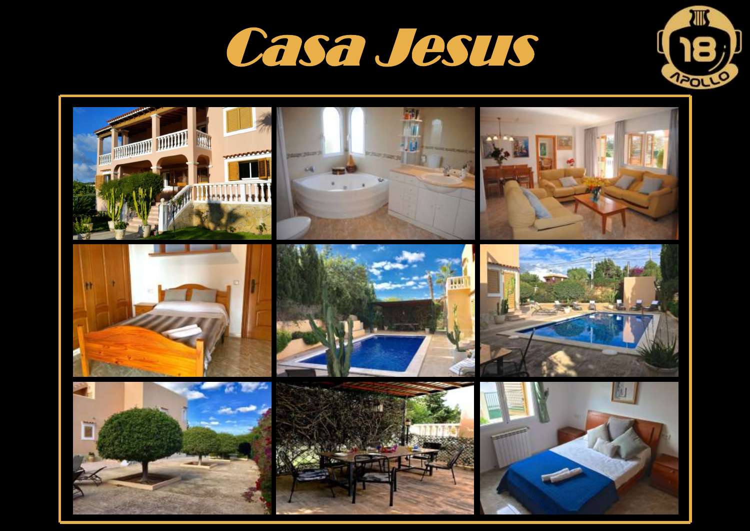



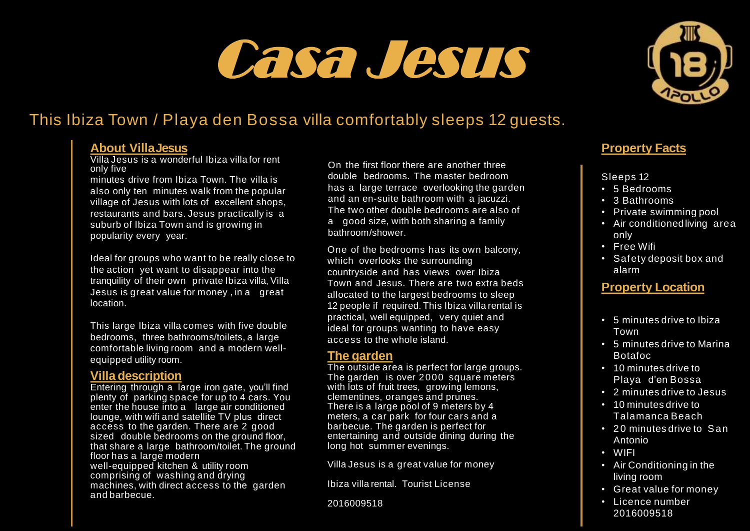# Casa Jesus



## This Ibiza Town / Playa den Bossa villa comfortably sleeps 12 guests.

#### **About VillaJesus**

Villa Jesus is a wonderful Ibiza villa for rent only five

minutes drive from Ibiza Town. The villa is also only ten minutes walk from the popular village of Jesus with lots of excellent shops, restaurants and bars. Jesus practically is a suburb of Ibiza Town and is growing in popularity every year.

Ideal for groups who want to be really close to the action yet want to disappear into the tranquility of their own private Ibiza villa, Villa Jesus is great value for money , in a great location.

This large Ibiza villa comes with five double bedrooms, three bathrooms/toilets, a large comfortable living room and a modern wellequipped utility room.

#### **Villa description**

Entering through a large iron gate, you'll find plenty of parking space for up to 4 cars. You enter the house into a large air conditioned lounge, with wifi and satellite TV plus direct access to the garden. There are 2 good sized double bedrooms on the ground floor, that share a large bathroom/toilet. The ground floor has a large modern well-equipped kitchen & utility room comprising of washing and drying machines, with direct access to the garden and barbecue.

On the first floor there are another three double bedrooms. The master bedroom has a large terrace overlooking the garden and an en-suite bathroom with a jacuzzi. The two other double bedrooms are also of a good size, with both sharing a family bathroom/shower.

One of the bedrooms has its own balcony, which overlooks the surrounding countryside and has views over Ibiza Town and Jesus. There are two extra beds allocated to the largest bedrooms to sleep 12 people if required. This Ibiza villa rental is practical, well equipped, very quiet and ideal for groups wanting to have easy access to the whole island.

#### **The garden**

The outside area is perfect for large groups. The garden is over 2000 square meters with lots of fruit trees, arowing lemons. clementines, oranges and prunes. There is a large pool of 9 meters by 4 meters, a car park for four cars and a barbecue. The garden is perfect for entertaining and outside dining during the long hot summer evenings.

Villa Jesus is a great value for money

Ibiza villa rental. Tourist License

2016009518

### **Property Facts**

#### Sleeps 12

- 5 Bedrooms
- 3 Bathrooms
- Private swimming pool
- Air conditionedliving area only
- Free Wifi
- Safety deposit box and alarm

## **Property Location**

- 5 minutes drive to Ibiza Town
- 5 minutes drive to Marina Botafoc
- 10 minutes drive to Playa d'en Bossa
- 2 minutes drive to Jesus
- 10 minutes drive to Talamanca Beach
- 20 minutes drive to San Antonio
- WIFI
- Air Conditioning in the living room
- Great value for money
- Licence number 2016009518